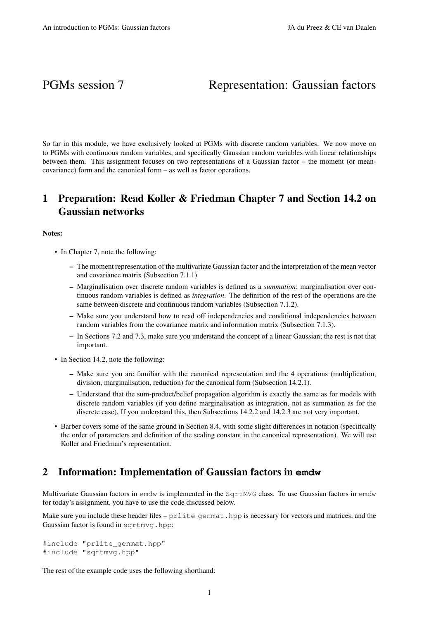# PGMs session 7 Representation: Gaussian factors

So far in this module, we have exclusively looked at PGMs with discrete random variables. We now move on to PGMs with continuous random variables, and specifically Gaussian random variables with linear relationships between them. This assignment focuses on two representations of a Gaussian factor – the moment (or meancovariance) form and the canonical form – as well as factor operations.

# 1 Preparation: Read Koller & Friedman Chapter 7 and Section 14.2 on Gaussian networks

### Notes:

- In Chapter 7, note the following:
	- The moment representation of the multivariate Gaussian factor and the interpretation of the mean vector and covariance matrix (Subsection 7.1.1)
	- Marginalisation over discrete random variables is defined as a *summation*; marginalisation over continuous random variables is defined as *integration*. The definition of the rest of the operations are the same between discrete and continuous random variables (Subsection 7.1.2).
	- Make sure you understand how to read off independencies and conditional independencies between random variables from the covariance matrix and information matrix (Subsection 7.1.3).
	- In Sections 7.2 and 7.3, make sure you understand the concept of a linear Gaussian; the rest is not that important.
- In Section 14.2, note the following:
	- Make sure you are familiar with the canonical representation and the 4 operations (multiplication, division, marginalisation, reduction) for the canonical form (Subsection 14.2.1).
	- Understand that the sum-product/belief propagation algorithm is exactly the same as for models with discrete random variables (if you define marginalisation as integration, not as summation as for the discrete case). If you understand this, then Subsections 14.2.2 and 14.2.3 are not very important.
- Barber covers some of the same ground in Section 8.4, with some slight differences in notation (specifically the order of parameters and definition of the scaling constant in the canonical representation). We will use Koller and Friedman's representation.

## 2 Information: Implementation of Gaussian factors in **emdw**

Multivariate Gaussian factors in emdw is implemented in the SqrtMVG class. To use Gaussian factors in emdw for today's assignment, you have to use the code discussed below.

Make sure you include these header files  $-p$  rlite genmat. hpp is necessary for vectors and matrices, and the Gaussian factor is found in sqrtmvg.hpp:

```
#include "prlite genmat.hpp"
#include "sqrtmvg.hpp"
```
The rest of the example code uses the following shorthand: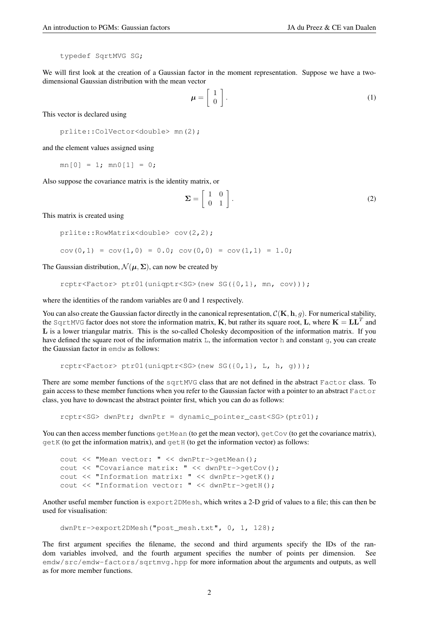typedef SqrtMVG SG;

We will first look at the creation of a Gaussian factor in the moment representation. Suppose we have a twodimensional Gaussian distribution with the mean vector

$$
\mu = \left[ \begin{array}{c} 1 \\ 0 \end{array} \right]. \tag{1}
$$

This vector is declared using

```
prlite::ColVector<double> mn(2);
```
and the element values assigned using

 $mn[0] = 1; mn[1] = 0;$ 

Also suppose the covariance matrix is the identity matrix, or

$$
\Sigma = \left[ \begin{array}{cc} 1 & 0 \\ 0 & 1 \end{array} \right].
$$
 (2)

This matrix is created using

```
prlite::RowMatrix<double> cov(2,2);
cov(0,1) = cov(1,0) = 0.0; cov(0,0) = cov(1,1) = 1.0;
```
The Gaussian distribution,  $\mathcal{N}(\mu, \Sigma)$ , can now be created by

```
rcptr<Factor> ptr01(uniqptr<SG>(new SG({0,1}, mn, cov)));
```
where the identities of the random variables are 0 and 1 respectively.

You can also create the Gaussian factor directly in the canonical representation,  $\mathcal{C}(\mathbf{K}, \mathbf{h}, g)$ . For numerical stability, the SqrtMVG factor does not store the information matrix, K, but rather its square root, L, where  $K = LL^T$  and L is a lower triangular matrix. This is the so-called Cholesky decomposition of the information matrix. If you have defined the square root of the information matrix L, the information vector h and constant q, you can create the Gaussian factor in emdw as follows:

```
rcptr<Factor> ptr01(uniqptr<SG>(new SG({0,1}, L, h, g)));
```
There are some member functions of the sqrtMVG class that are not defined in the abstract Factor class. To gain access to these member functions when you refer to the Gaussian factor with a pointer to an abstract Factor class, you have to downcast the abstract pointer first, which you can do as follows:

rcptr<SG> dwnPtr; dwnPtr = dynamic\_pointer\_cast<SG>(ptr01);

You can then access member functions  $\det$  mean (to get the mean vector),  $\det$  Cov (to get the covariance matrix), getK (to get the information matrix), and getH (to get the information vector) as follows:

```
cout << "Mean vector: " << dwnPtr->getMean();
cout << "Covariance matrix: " << dwnPtr->getCov();
cout << "Information matrix: " << dwnPtr->getK();
cout << "Information vector: " << dwnPtr->getH();
```
Another useful member function is export2DMesh, which writes a 2-D grid of values to a file; this can then be used for visualisation:

```
dwnPtr->export2DMesh("post_mesh.txt", 0, 1, 128);
```
The first argument specifies the filename, the second and third arguments specify the IDs of the random variables involved, and the fourth argument specifies the number of points per dimension. See emdw/src/emdw-factors/sqrtmvg.hpp for more information about the arguments and outputs, as well as for more member functions.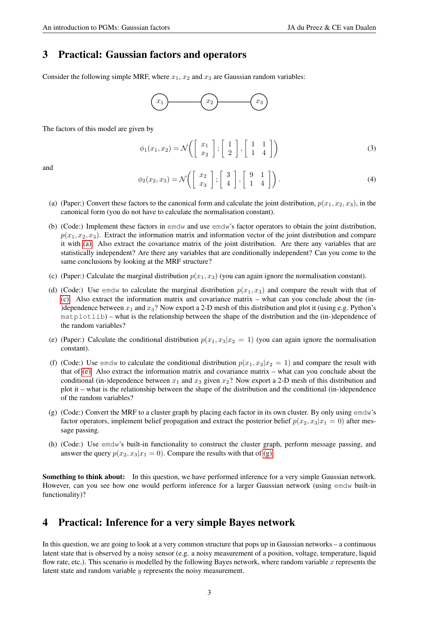# 3 Practical: Gaussian factors and operators

Consider the following simple MRF, where  $x_1$ ,  $x_2$  and  $x_3$  are Gaussian random variables:



The factors of this model are given by

$$
\phi_1(x_1, x_2) = \mathcal{N}\left( \left[ \begin{array}{c} x_1 \\ x_2 \end{array} \right], \left[ \begin{array}{c} 1 \\ 2 \end{array} \right], \left[ \begin{array}{c} 1 & 1 \\ 1 & 4 \end{array} \right] \right) \tag{3}
$$

and

$$
\phi_2(x_2, x_3) = \mathcal{N}\left( \left[ \begin{array}{c} x_2 \\ x_3 \end{array} \right], \left[ \begin{array}{c} 3 \\ 4 \end{array} \right], \left[ \begin{array}{cc} 9 & 1 \\ 1 & 4 \end{array} \right] \right). \tag{4}
$$

- <span id="page-2-0"></span>(a) (Paper:) Convert these factors to the canonical form and calculate the joint distribution,  $p(x_1, x_2, x_3)$ , in the canonical form (you do not have to calculate the normalisation constant).
- (b) (Code:) Implement these factors in emdw and use emdw's factor operators to obtain the joint distribution,  $p(x_1, x_2, x_3)$ . Extract the information matrix and information vector of the joint distribution and compare it with [\(a\).](#page-2-0) Also extract the covariance matrix of the joint distribution. Are there any variables that are statistically independent? Are there any variables that are conditionally independent? Can you come to the same conclusions by looking at the MRF structure?
- <span id="page-2-1"></span>(c) (Paper:) Calculate the marginal distribution  $p(x_1, x_3)$  (you can again ignore the normalisation constant).
- (d) (Code:) Use emdw to calculate the marginal distribution  $p(x_1, x_3)$  and compare the result with that of [\(c\).](#page-2-1) Also extract the information matrix and covariance matrix – what can you conclude about the (in- )dependence between  $x_1$  and  $x_3$ ? Now export a 2-D mesh of this distribution and plot it (using e.g. Python's matplotlib) – what is the relationship between the shape of the distribution and the (in-)dependence of the random variables?
- <span id="page-2-2"></span>(e) (Paper:) Calculate the conditional distribution  $p(x_1, x_3|x_2 = 1)$  (you can again ignore the normalisation constant).
- (f) (Code:) Use emdw to calculate the conditional distribution  $p(x_1, x_3|x_2 = 1)$  and compare the result with that of [\(e\).](#page-2-2) Also extract the information matrix and covariance matrix – what can you conclude about the conditional (in-)dependence between  $x_1$  and  $x_3$  given  $x_2$ ? Now export a 2-D mesh of this distribution and plot it – what is the relationship between the shape of the distribution and the conditional (in-)dependence of the random variables?
- <span id="page-2-3"></span>(g) (Code:) Convert the MRF to a cluster graph by placing each factor in its own cluster. By only using emdw's factor operators, implement belief propagation and extract the posterior belief  $p(x_2, x_3|x_1 = 0)$  after message passing.
- (h) (Code:) Use emdw's built-in functionality to construct the cluster graph, perform message passing, and answer the query  $p(x_2, x_3|x_1 = 0)$ . Compare the results with that of [\(g\).](#page-2-3)

Something to think about: In this question, we have performed inference for a very simple Gaussian network. However, can you see how one would perform inference for a larger Gaussian network (using emdw built-in functionality)?

## 4 Practical: Inference for a very simple Bayes network

In this question, we are going to look at a very common structure that pops up in Gaussian networks – a continuous latent state that is observed by a noisy sensor (e.g. a noisy measurement of a position, voltage, temperature, liquid flow rate, etc.). This scenario is modelled by the following Bayes network, where random variable x represents the latent state and random variable y represents the noisy measurement.